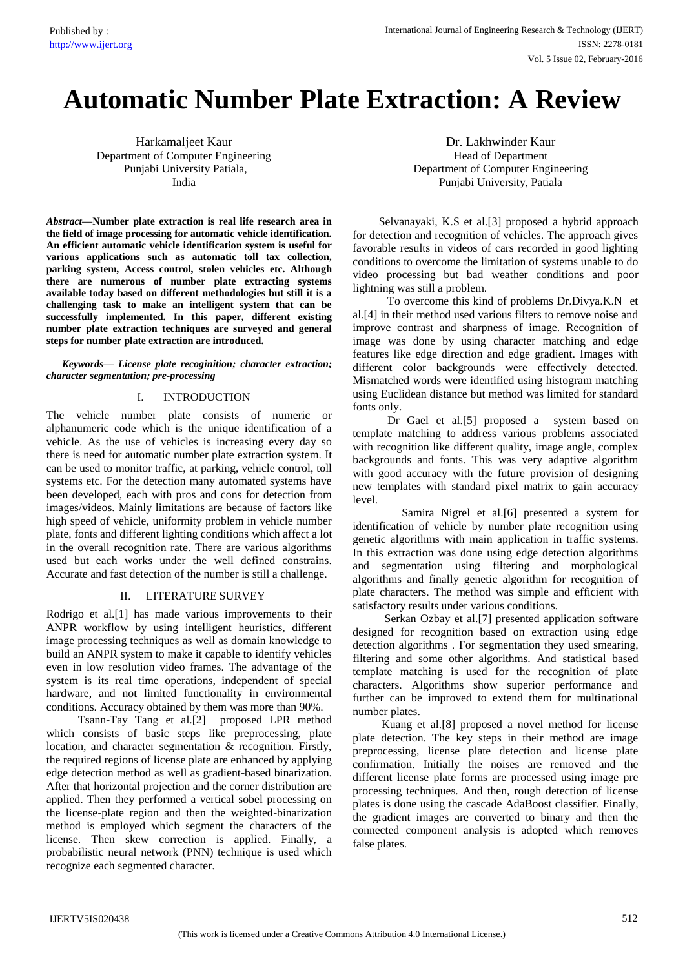# **Automatic Number Plate Extraction: A Review**

Harkamaljeet Kaur Department of Computer Engineering Punjabi University Patiala, India

*Abstract***—Number plate extraction is real life research area in the field of image processing for automatic vehicle identification. An efficient automatic vehicle identification system is useful for various applications such as automatic toll tax collection, parking system, Access control, stolen vehicles etc. Although there are numerous of number plate extracting systems available today based on different methodologies but still it is a challenging task to make an intelligent system that can be successfully implemented. In this paper, different existing number plate extraction techniques are surveyed and general steps for number plate extraction are introduced.**

*Keywords— License plate recoginition; character extraction; character segmentation; pre-processing*

## I. INTRODUCTION

The vehicle number plate consists of numeric or alphanumeric code which is the unique identification of a vehicle. As the use of vehicles is increasing every day so there is need for automatic number plate extraction system. It can be used to monitor traffic, at parking, vehicle control, toll systems etc. For the detection many automated systems have been developed, each with pros and cons for detection from images/videos. Mainly limitations are because of factors like high speed of vehicle, uniformity problem in vehicle number plate, fonts and different lighting conditions which affect a lot in the overall recognition rate. There are various algorithms used but each works under the well defined constrains. Accurate and fast detection of the number is still a challenge.

#### II. LITERATURE SURVEY

Rodrigo et al.[1] has made various improvements to their ANPR workflow by using intelligent heuristics, different image processing techniques as well as domain knowledge to build an ANPR system to make it capable to identify vehicles even in low resolution video frames. The advantage of the system is its real time operations, independent of special hardware, and not limited functionality in environmental conditions. Accuracy obtained by them was more than 90%.

 Tsann-Tay Tang et al.[2] proposed LPR method which consists of basic steps like preprocessing, plate location, and character segmentation & recognition. Firstly, the required regions of license plate are enhanced by applying edge detection method as well as gradient-based binarization. After that horizontal projection and the corner distribution are applied. Then they performed a vertical sobel processing on the license-plate region and then the weighted-binarization method is employed which segment the characters of the license. Then skew correction is applied. Finally, a probabilistic neural network (PNN) technique is used which recognize each segmented character.

Dr. Lakhwinder Kaur Head of Department Department of Computer Engineering Punjabi University, Patiala

 Selvanayaki, K.S et al.[3] proposed a hybrid approach for detection and recognition of vehicles. The approach gives favorable results in videos of cars recorded in good lighting conditions to overcome the limitation of systems unable to do video processing but bad weather conditions and poor lightning was still a problem.

 To overcome this kind of problems Dr.Divya.K.N et al.[4] in their method used various filters to remove noise and improve contrast and sharpness of image. Recognition of image was done by using character matching and edge features like edge direction and edge gradient. Images with different color backgrounds were effectively detected. Mismatched words were identified using histogram matching using Euclidean distance but method was limited for standard fonts only.

 Dr Gael et al.[5] proposed a system based on template matching to address various problems associated with recognition like different quality, image angle, complex backgrounds and fonts. This was very adaptive algorithm with good accuracy with the future provision of designing new templates with standard pixel matrix to gain accuracy level.

 Samira Nigrel et al.[6] presented a system for identification of vehicle by number plate recognition using genetic algorithms with main application in traffic systems. In this extraction was done using edge detection algorithms and segmentation using filtering and morphological algorithms and finally genetic algorithm for recognition of plate characters. The method was simple and efficient with satisfactory results under various conditions.

 Serkan Ozbay et al.[7] presented application software designed for recognition based on extraction using edge detection algorithms . For segmentation they used smearing, filtering and some other algorithms. And statistical based template matching is used for the recognition of plate characters. Algorithms show superior performance and further can be improved to extend them for multinational number plates.

 Kuang et al.[8] proposed a novel method for license plate detection. The key steps in their method are image preprocessing, license plate detection and license plate confirmation. Initially the noises are removed and the different license plate forms are processed using image pre processing techniques. And then, rough detection of license plates is done using the cascade AdaBoost classifier. Finally, the gradient images are converted to binary and then the connected component analysis is adopted which removes false plates.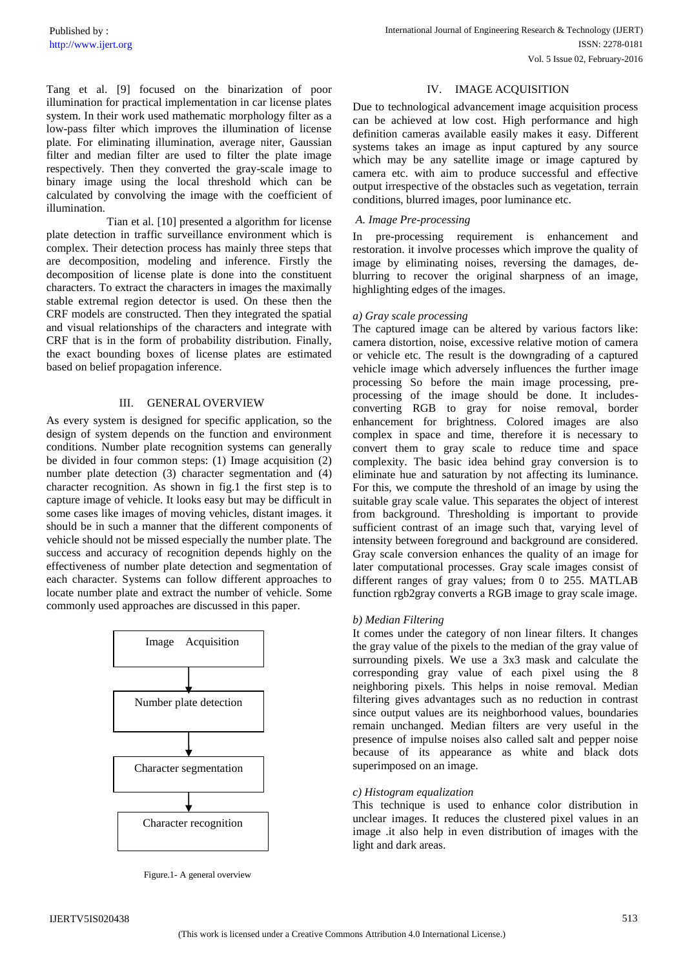Tang et al. [9] focused on the binarization of poor illumination for practical implementation in car license plates system. In their work used mathematic morphology filter as a low-pass filter which improves the illumination of license plate. For eliminating illumination, average niter, Gaussian filter and median filter are used to filter the plate image respectively. Then they converted the gray-scale image to binary image using the local threshold which can be calculated by convolving the image with the coefficient of illumination.

 Tian et al. [10] presented a algorithm for license plate detection in traffic surveillance environment which is complex. Their detection process has mainly three steps that are decomposition, modeling and inference. Firstly the decomposition of license plate is done into the constituent characters. To extract the characters in images the maximally stable extremal region detector is used. On these then the CRF models are constructed. Then they integrated the spatial and visual relationships of the characters and integrate with CRF that is in the form of probability distribution. Finally, the exact bounding boxes of license plates are estimated based on belief propagation inference.

# III. GENERAL OVERVIEW

As every system is designed for specific application, so the design of system depends on the function and environment conditions. Number plate recognition systems can generally be divided in four common steps: (1) Image acquisition (2) number plate detection (3) character segmentation and (4) character recognition. As shown in fig.1 the first step is to capture image of vehicle. It looks easy but may be difficult in some cases like images of moving vehicles, distant images. it should be in such a manner that the different components of vehicle should not be missed especially the number plate. The success and accuracy of recognition depends highly on the effectiveness of number plate detection and segmentation of each character. Systems can follow different approaches to locate number plate and extract the number of vehicle. Some commonly used approaches are discussed in this paper.



Figure.1- A general overview

## IV. IMAGE ACQUISITION

Due to technological advancement image acquisition process can be achieved at low cost. High performance and high definition cameras available easily makes it easy. Different systems takes an image as input captured by any source which may be any satellite image or image captured by camera etc. with aim to produce successful and effective output irrespective of the obstacles such as vegetation, terrain conditions, blurred images, poor luminance etc.

## *A. Image Pre-processing*

In pre-processing requirement is enhancement and restoration. it involve processes which improve the quality of image by eliminating noises, reversing the damages, deblurring to recover the original sharpness of an image, highlighting edges of the images.

#### *a) Gray scale processing*

The captured image can be altered by various factors like: camera distortion, noise, excessive relative motion of camera or vehicle etc. The result is the downgrading of a captured vehicle image which adversely influences the further image processing So before the main image processing, preprocessing of the image should be done. It includesconverting RGB to gray for noise removal, border enhancement for brightness. Colored images are also complex in space and time, therefore it is necessary to convert them to gray scale to reduce time and space complexity. The basic idea behind gray conversion is to eliminate hue and saturation by not affecting its luminance. For this, we compute the threshold of an image by using the suitable gray scale value. This separates the object of interest from background. Thresholding is important to provide sufficient contrast of an image such that, varying level of intensity between foreground and background are considered. Gray scale conversion enhances the quality of an image for later computational processes. Gray scale images consist of different ranges of gray values; from 0 to 255. MATLAB function rgb2gray converts a RGB image to gray scale image.

#### *b) Median Filtering*

It comes under the category of non linear filters. It changes the gray value of the pixels to the median of the gray value of surrounding pixels. We use a 3x3 mask and calculate the corresponding gray value of each pixel using the 8 neighboring pixels. This helps in noise removal. Median filtering gives advantages such as no reduction in contrast since output values are its neighborhood values, boundaries remain unchanged. Median filters are very useful in the presence of impulse noises also called salt and pepper noise because of its appearance as white and black dots superimposed on an image.

#### *c) Histogram equalization*

This technique is used to enhance color distribution in unclear images. It reduces the clustered pixel values in an image .it also help in even distribution of images with the light and dark areas.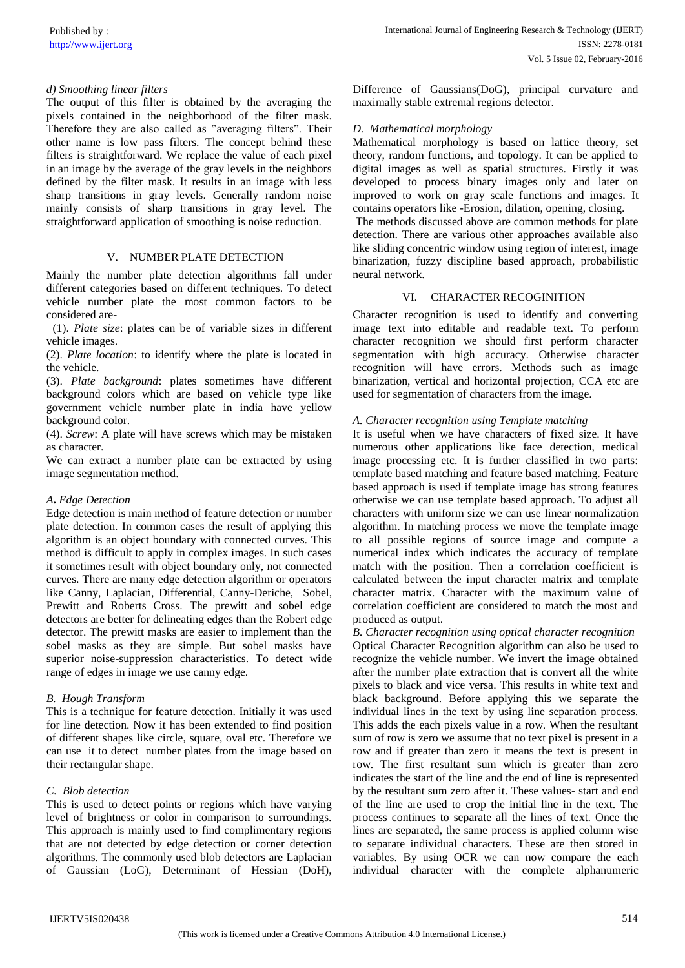## *d) Smoothing linear filters*

The output of this filter is obtained by the averaging the pixels contained in the neighborhood of the filter mask. Therefore they are also called as "averaging filters". Their other name is low pass filters. The concept behind these filters is straightforward. We replace the value of each pixel in an image by the average of the gray levels in the neighbors defined by the filter mask. It results in an image with less sharp transitions in gray levels. Generally random noise mainly consists of sharp transitions in gray level. The straightforward application of smoothing is noise reduction.

## V. NUMBER PLATE DETECTION

Mainly the number plate detection algorithms fall under different categories based on different techniques. To detect vehicle number plate the most common factors to be considered are-

(1). *Plate size*: plates can be of variable sizes in different vehicle images.

(2). *Plate location*: to identify where the plate is located in the vehicle.

(3). *Plate background*: plates sometimes have different background colors which are based on vehicle type like government vehicle number plate in india have yellow background color.

(4). *Screw*: A plate will have screws which may be mistaken as character.

We can extract a number plate can be extracted by using image segmentation method.

#### *A***.** *Edge Detection*

Edge detection is main method of feature detection or number plate detection. In common cases the result of applying this algorithm is an object boundary with connected curves. This method is difficult to apply in complex images. In such cases it sometimes result with object boundary only, not connected curves. There are many edge detection algorithm or operators like Canny, Laplacian, Differential, Canny-Deriche, Sobel, Prewitt and Roberts Cross. The prewitt and sobel edge detectors are better for delineating edges than the Robert edge detector. The prewitt masks are easier to implement than the sobel masks as they are simple. But sobel masks have superior noise-suppression characteristics. To detect wide range of edges in image we use canny edge.

#### *B. Hough Transform*

This is a technique for feature detection. Initially it was used for line detection. Now it has been extended to find position of different shapes like circle, square, oval etc. Therefore we can use it to detect number plates from the image based on their rectangular shape.

# *C. Blob detection*

This is used to detect points or regions which have varying level of brightness or color in comparison to surroundings. This approach is mainly used to find complimentary regions that are not detected by edge detection or corner detection algorithms. The commonly used blob detectors are Laplacian of Gaussian (LoG), Determinant of Hessian (DoH), Difference of Gaussians(DoG), principal curvature and maximally stable extremal regions detector.

## *D. Mathematical morphology*

Mathematical morphology is based on lattice theory, set theory, random functions, and topology. It can be applied to digital images as well as spatial structures. Firstly it was developed to process binary images only and later on improved to work on gray scale functions and images. It contains operators like -Erosion, dilation, opening, closing.

The methods discussed above are common methods for plate detection. There are various other approaches available also like sliding concentric window using region of interest, image binarization, fuzzy discipline based approach, probabilistic neural network.

## VI. CHARACTER RECOGINITION

Character recognition is used to identify and converting image text into editable and readable text. To perform character recognition we should first perform character segmentation with high accuracy. Otherwise character recognition will have errors. Methods such as image binarization, vertical and horizontal projection, CCA etc are used for segmentation of characters from the image.

## *A. Character recognition using Template matching*

It is useful when we have characters of fixed size. It have numerous other applications like face detection, medical image processing etc. It is further classified in two parts: template based matching and feature based matching. Feature based approach is used if template image has strong features otherwise we can use template based approach. To adjust all characters with uniform size we can use linear normalization algorithm. In matching process we move the template image to all possible regions of source image and compute a numerical index which indicates the accuracy of template match with the position. Then a correlation coefficient is calculated between the input character matrix and template character matrix. Character with the maximum value of correlation coefficient are considered to match the most and produced as output.

*B. Character recognition using optical character recognition*  Optical Character Recognition algorithm can also be used to recognize the vehicle number. We invert the image obtained after the number plate extraction that is convert all the white pixels to black and vice versa. This results in white text and black background. Before applying this we separate the individual lines in the text by using line separation process. This adds the each pixels value in a row. When the resultant sum of row is zero we assume that no text pixel is present in a row and if greater than zero it means the text is present in row. The first resultant sum which is greater than zero indicates the start of the line and the end of line is represented by the resultant sum zero after it. These values- start and end of the line are used to crop the initial line in the text. The process continues to separate all the lines of text. Once the lines are separated, the same process is applied column wise to separate individual characters. These are then stored in variables. By using OCR we can now compare the each individual character with the complete alphanumeric